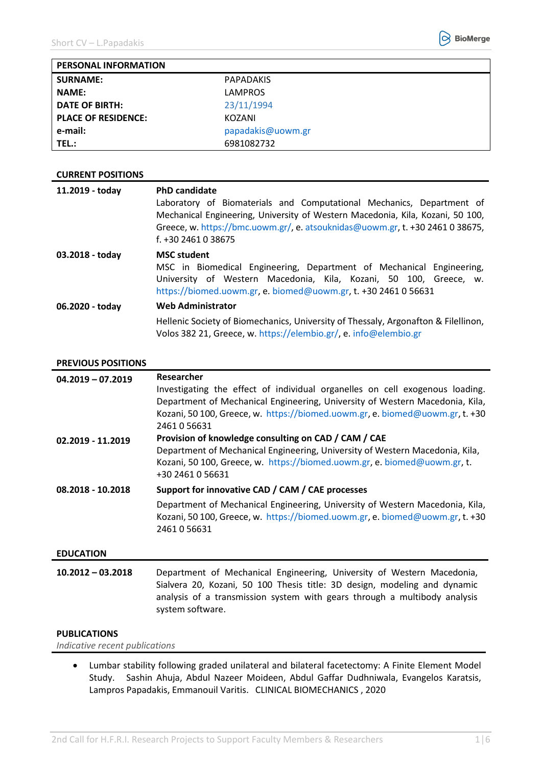

| <b>PERSONAL INFORMATION</b> |                   |
|-----------------------------|-------------------|
| <b>SURNAME:</b>             | PAPADAKIS         |
| <b>NAME:</b>                | <b>LAMPROS</b>    |
| <b>DATE OF BIRTH:</b>       | 23/11/1994        |
| <b>PLACE OF RESIDENCE:</b>  | KOZANI            |
| e-mail:                     | papadakis@uowm.gr |
| TEL.:                       | 6981082732        |

# **CURRENT POSITIONS**

| 11.2019 - today | <b>PhD candidate</b><br>Laboratory of Biomaterials and Computational Mechanics, Department of<br>Mechanical Engineering, University of Western Macedonia, Kila, Kozani, 50 100,<br>Greece, w. https://bmc.uowm.gr/, e. atsouknidas@uowm.gr, t. +30 2461 0 38675,<br>$f. +302461038675$ |
|-----------------|----------------------------------------------------------------------------------------------------------------------------------------------------------------------------------------------------------------------------------------------------------------------------------------|
| 03.2018 - today | <b>MSC student</b><br>MSC in Biomedical Engineering, Department of Mechanical Engineering,<br>University of Western Macedonia, Kila, Kozani, 50 100, Greece, w.<br>https://biomed.uowm.gr, e. biomed@uowm.gr, t. +30 2461 0 56631                                                      |
| 06.2020 - today | <b>Web Administrator</b>                                                                                                                                                                                                                                                               |
|                 | Hellenic Society of Biomechanics, University of Thessaly, Argonafton & Filellinon,<br>Volos 382 21, Greece, w. https://elembio.gr/, e. info@elembio.gr                                                                                                                                 |

### **PREVIOUS POSITIONS**

| $04.2019 - 07.2019$ | Researcher<br>Investigating the effect of individual organelles on cell exogenous loading.<br>Department of Mechanical Engineering, University of Western Macedonia, Kila,<br>Kozani, 50 100, Greece, w. https://biomed.uowm.gr, e. biomed@uowm.gr, t. +30<br>2461056631 |
|---------------------|--------------------------------------------------------------------------------------------------------------------------------------------------------------------------------------------------------------------------------------------------------------------------|
| 02.2019 - 11.2019   | Provision of knowledge consulting on CAD / CAM / CAE<br>Department of Mechanical Engineering, University of Western Macedonia, Kila,<br>Kozani, 50 100, Greece, w. https://biomed.uowm.gr, e. biomed@uowm.gr, t.<br>+30 2461 0 56631                                     |
| 08.2018 - 10.2018   | Support for innovative CAD / CAM / CAE processes<br>Department of Mechanical Engineering, University of Western Macedonia, Kila,<br>Kozani, 50 100, Greece, w. https://biomed.uowm.gr, e. biomed@uowm.gr, t. +30<br>2461056631                                           |
| <b>EDUCATION</b>    |                                                                                                                                                                                                                                                                          |

**10.2012 – 03.2018** Department of Mechanical Engineering, University of Western Macedonia, Sialvera 20, Kozani, 50 100 Thesis title: 3D design, modeling and dynamic analysis of a transmission system with gears through a multibody analysis system software.

# **PUBLICATIONS**

*Indicative recent publications*

 Lumbar stability following graded unilateral and bilateral facetectomy: A Finite Element Model Study. Sashin Ahuja, Abdul Nazeer Moideen, Abdul Gaffar Dudhniwala, Evangelos Karatsis, Lampros Papadakis, Emmanouil Varitis. CLINICAL BIOMECHANICS , 2020